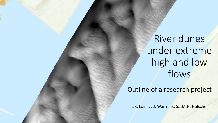River dunes under extreme high and low flows

Outline of a research project

L.R. Lokin, J.J. Warmink, S.J.M.H. Hulscher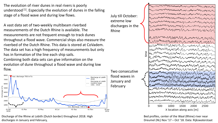The evolution of river dunes in real rivers is poorly understood  $[1]$ . Especially the evolution of dunes in the falling stage of a flood wave and during low flows.

A vast data set of two-weekly multibeam riverbed measurements of the Dutch Rhine is available. The measurements are not frequent enough to track dunes throughout a flood wave. Commercial ships also measure the riverbed of the Dutch Rhine. This data is stored at CoVadem. The data set has a high frequency of measurements but only has in formation of the line each ship sails. Combining both data sets can give information on the evolution of dune throughout a flood wave and during low flow.



Discharge of the Rhine at Lobith (Dutch border) throughout 2018. High discharges in January and February,

July till October: extreme low discharges in the Rhine

time MWMWM NM IMMMMMMMMMmMmmmmmM MMm/Murannammmmm/mm/mm/mmm MMuyMMMMyMMWMMMMmmMM 500 1000 1500 2000 2500 X location along axis [m]

Bed profiles, center of the Waal (Rhine) river near Dreumel (NL) Nov '17 – Oct '18. Data: Rijkswaterstaat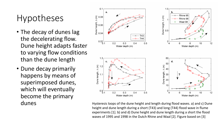# Hypotheses

- The decay of dunes lag the decelerating flow. Dune height adapts faster to varying flow conditions than the dune length
- Dune decay primarily happens by means of superimposed dunes, which will eventually become the primary



dunes dunes Hysteresis loops of the dune height and length during flood waves. a) and c) Dune height and dune length during a short (T43) and long (T44) flood wave in flume experiments [1]. b) and d) Dune height and dune length during a short the flood waves of 1995 and 1998 in the Dutch Rhine and Waal [2]. Figure based on [3]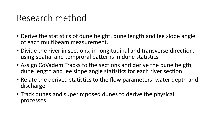#### Research method

- Derive the statistics of dune height, dune length and lee slope angle of each multibeam measurement.
- Divide the river in sections, in longitudinal and transverse direction, using spatial and temproral patterns in dune statistics
- Assign CoVadem Tracks to the sections and derive the dune heigth, dune length and lee slope angle statistics for each river section
- Relate the derived statistics to the flow parameters: water depth and discharge.
- Track dunes and superimposed dunes to derive the physical processes.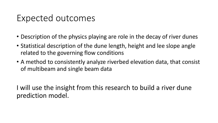#### Expected outcomes

- Description of the physics playing are role in the decay of river dunes
- Statistical description of the dune length, height and lee slope angle related to the governing flow conditions
- A method to consistently analyze riverbed elevation data, that consist of multibeam and single beam data

I will use the insight from this research to build a river dune prediction model.